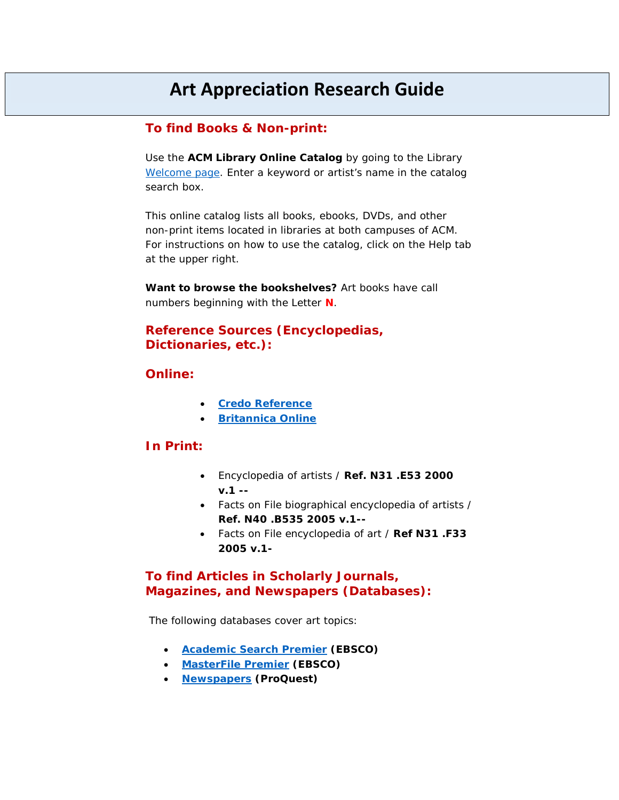# **Art Appreciation Research Guide**

#### **To find Books & Non-print:**

Use the **ACM Library Online Catalog** by going to the Library [Welcome page.](http://library.allegany.edu/polaris/) Enter a keyword or artist's name in the catalog search box.

This online catalog lists all books, ebooks, DVDs, and other non-print items located in libraries at both campuses of ACM. For instructions on how to use the catalog, click on the Help tab at the upper right.

*Want to browse the bookshelves? Art books have call numbers beginning with the Letter* **N***.*

#### **Reference Sources (Encyclopedias, Dictionaries, etc.):**

#### **Online:**

- **[Credo Reference](https://acm.idm.oclc.org/login?url=https://search.credoreference.com/?institutionId=7767)**
- *[Britannica](https://acm.idm.oclc.org/login?url=http://www.britannica.com/) Online*

#### *In Print:*

- *Encyclopedia of artists /* **Ref. N31 .E53 2000 v.1 --**
- *Facts on File biographical encyclopedia of artists /* **Ref. N40 .B535 2005 v.1--**
- *Facts on File encyclopedia of art /* **Ref N31 .F33 2005 v.1-**

### **To find Articles in Scholarly Journals, Magazines, and Newspapers (Databases):**

The following databases cover art topics:

- **[Academic Search Premier](https://acm.idm.oclc.org/login?url=http://search.ebscohost.com/login.aspx?authtype=ip,uid&profile=ehost&defaultdb=aph) (EBSCO)**
- **[MasterFile Premier](https://acm.idm.oclc.org/login?url=http://search.ebscohost.com/login.aspx?authtype=ip,uid&profile=ehost&defaultdb=f5h) (EBSCO)**
- **[Newspapers](https://acm.idm.oclc.org/login?url=https://search.proquest.com/news?accountid=44891) (ProQuest)**